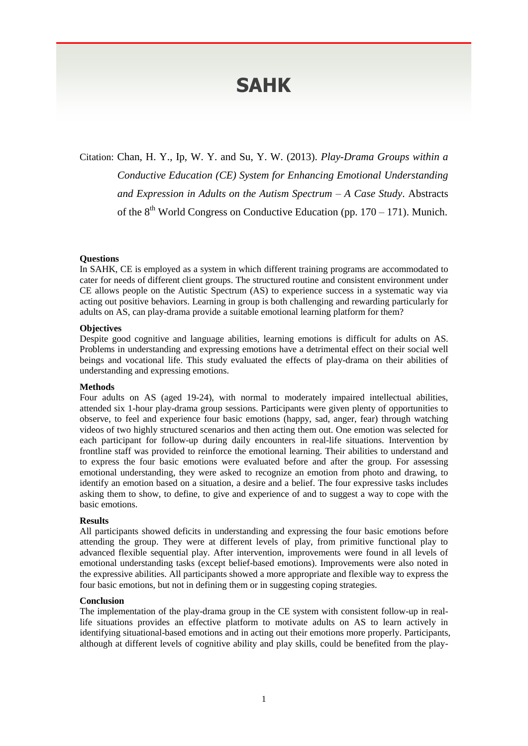# **SAHK**

Citation: Chan, H. Y., Ip, W. Y. and Su, Y. W. (2013). *Play-Drama Groups within a Conductive Education (CE) System for Enhancing Emotional Understanding and Expression in Adults on the Autism Spectrum – A Case Study*. Abstracts of the  $8<sup>th</sup>$  World Congress on Conductive Education (pp. 170 – 171). Munich.

#### **Questions**

In SAHK, CE is employed as a system in which different training programs are accommodated to cater for needs of different client groups. The structured routine and consistent environment under CE allows people on the Autistic Spectrum (AS) to experience success in a systematic way via acting out positive behaviors. Learning in group is both challenging and rewarding particularly for adults on AS, can play-drama provide a suitable emotional learning platform for them?

## **Objectives**

Despite good cognitive and language abilities, learning emotions is difficult for adults on AS. Problems in understanding and expressing emotions have a detrimental effect on their social well beings and vocational life. This study evaluated the effects of play-drama on their abilities of understanding and expressing emotions.

## **Methods**

Four adults on AS (aged 19-24), with normal to moderately impaired intellectual abilities, attended six 1-hour play-drama group sessions. Participants were given plenty of opportunities to observe, to feel and experience four basic emotions (happy, sad, anger, fear) through watching videos of two highly structured scenarios and then acting them out. One emotion was selected for each participant for follow-up during daily encounters in real-life situations. Intervention by frontline staff was provided to reinforce the emotional learning. Their abilities to understand and to express the four basic emotions were evaluated before and after the group. For assessing emotional understanding, they were asked to recognize an emotion from photo and drawing, to identify an emotion based on a situation, a desire and a belief. The four expressive tasks includes asking them to show, to define, to give and experience of and to suggest a way to cope with the basic emotions.

#### **Results**

All participants showed deficits in understanding and expressing the four basic emotions before attending the group. They were at different levels of play, from primitive functional play to advanced flexible sequential play. After intervention, improvements were found in all levels of emotional understanding tasks (except belief-based emotions). Improvements were also noted in the expressive abilities. All participants showed a more appropriate and flexible way to express the four basic emotions, but not in defining them or in suggesting coping strategies.

#### **Conclusion**

The implementation of the play-drama group in the CE system with consistent follow-up in reallife situations provides an effective platform to motivate adults on AS to learn actively in identifying situational-based emotions and in acting out their emotions more properly. Participants, although at different levels of cognitive ability and play skills, could be benefited from the play